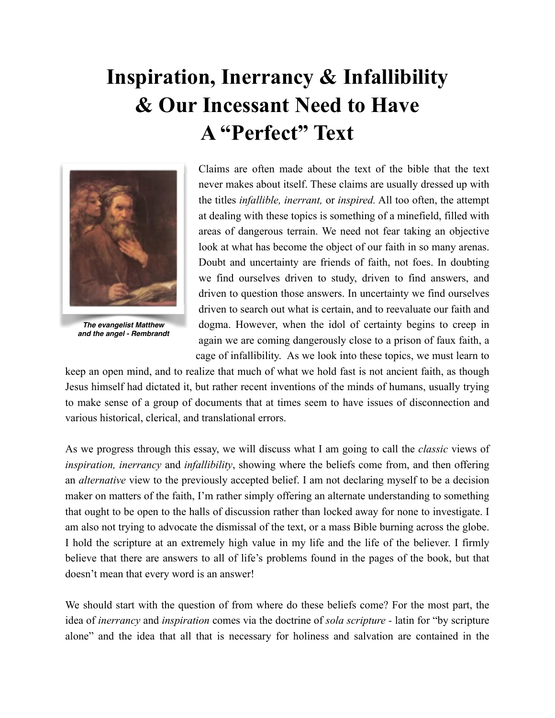# **Inspiration, Inerrancy & Infallibility & Our Incessant Need to Have A "Perfect" Text**



*The evangelist Matthew and the angel - Rembrandt*

Claims are often made about the text of the bible that the text never makes about itself. These claims are usually dressed up with the titles *infallible, inerrant,* or *inspired.* All too often, the attempt at dealing with these topics is something of a minefield, filled with areas of dangerous terrain. We need not fear taking an objective look at what has become the object of our faith in so many arenas. Doubt and uncertainty are friends of faith, not foes. In doubting we find ourselves driven to study, driven to find answers, and driven to question those answers. In uncertainty we find ourselves driven to search out what is certain, and to reevaluate our faith and dogma. However, when the idol of certainty begins to creep in again we are coming dangerously close to a prison of faux faith, a cage of infallibility. As we look into these topics, we must learn to

keep an open mind, and to realize that much of what we hold fast is not ancient faith, as though Jesus himself had dictated it, but rather recent inventions of the minds of humans, usually trying to make sense of a group of documents that at times seem to have issues of disconnection and various historical, clerical, and translational errors.

As we progress through this essay, we will discuss what I am going to call the *classic* views of *inspiration, inerrancy* and *infallibility*, showing where the beliefs come from, and then offering an *alternative* view to the previously accepted belief. I am not declaring myself to be a decision maker on matters of the faith, I'm rather simply offering an alternate understanding to something that ought to be open to the halls of discussion rather than locked away for none to investigate. I am also not trying to advocate the dismissal of the text, or a mass Bible burning across the globe. I hold the scripture at an extremely high value in my life and the life of the believer. I firmly believe that there are answers to all of life's problems found in the pages of the book, but that doesn't mean that every word is an answer!

We should start with the question of from where do these beliefs come? For the most part, the idea of *inerrancy* and *inspiration* comes via the doctrine of *sola scripture -* latin for "by scripture alone" and the idea that all that is necessary for holiness and salvation are contained in the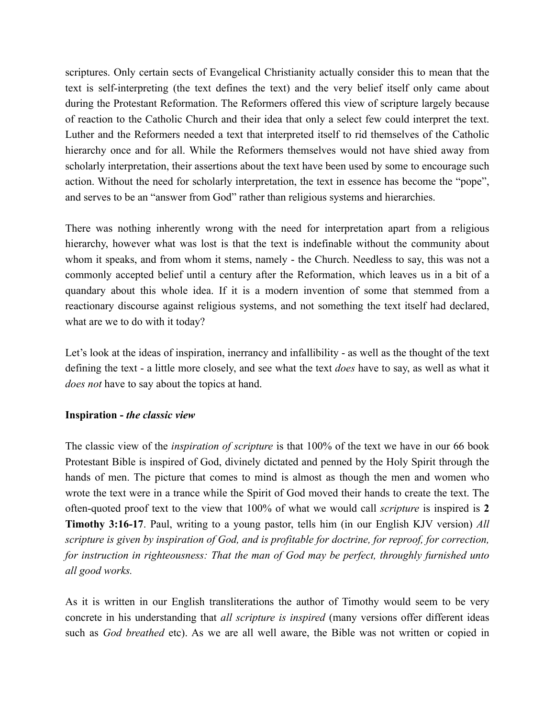scriptures. Only certain sects of Evangelical Christianity actually consider this to mean that the text is self-interpreting (the text defines the text) and the very belief itself only came about during the Protestant Reformation. The Reformers offered this view of scripture largely because of reaction to the Catholic Church and their idea that only a select few could interpret the text. Luther and the Reformers needed a text that interpreted itself to rid themselves of the Catholic hierarchy once and for all. While the Reformers themselves would not have shied away from scholarly interpretation, their assertions about the text have been used by some to encourage such action. Without the need for scholarly interpretation, the text in essence has become the "pope", and serves to be an "answer from God" rather than religious systems and hierarchies.

There was nothing inherently wrong with the need for interpretation apart from a religious hierarchy, however what was lost is that the text is indefinable without the community about whom it speaks, and from whom it stems, namely - the Church. Needless to say, this was not a commonly accepted belief until a century after the Reformation, which leaves us in a bit of a quandary about this whole idea. If it is a modern invention of some that stemmed from a reactionary discourse against religious systems, and not something the text itself had declared, what are we to do with it today?

Let's look at the ideas of inspiration, inerrancy and infallibility - as well as the thought of the text defining the text - a little more closely, and see what the text *does* have to say, as well as what it *does not* have to say about the topics at hand.

## **Inspiration -** *the classic view*

The classic view of the *inspiration of scripture* is that 100% of the text we have in our 66 book Protestant Bible is inspired of God, divinely dictated and penned by the Holy Spirit through the hands of men. The picture that comes to mind is almost as though the men and women who wrote the text were in a trance while the Spirit of God moved their hands to create the text. The often-quoted proof text to the view that 100% of what we would call *scripture* is inspired is **2 Timothy 3:16-17**. Paul, writing to a young pastor, tells him (in our English KJV version) *All scripture is given by inspiration of God, and is profitable for doctrine, for reproof, for correction, for instruction in righteousness: That the man of God may be perfect, throughly furnished unto all good works.* 

As it is written in our English transliterations the author of Timothy would seem to be very concrete in his understanding that *all scripture is inspired* (many versions offer different ideas such as *God breathed* etc). As we are all well aware, the Bible was not written or copied in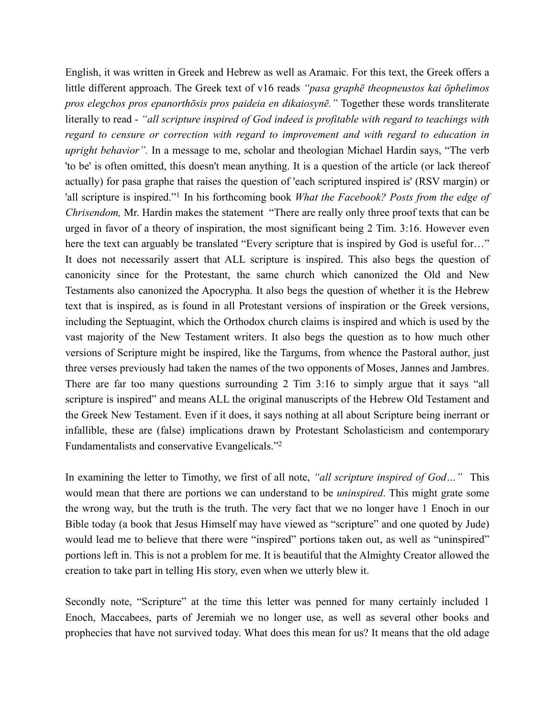English, it was written in Greek and Hebrew as well as Aramaic. For this text, the Greek offers a little different approach. The Greek text of v16 reads *"pasa graphē theopneustos kai ōphelimos pros elegchos pros epanorthōsis pros paideia en dikaiosynē."* Together these words transliterate literally to read - *"all scripture inspired of God indeed is profitable with regard to teachings with regard to censure or correction with regard to improvement and with regard to education in upright behavior".* In a message to me, scholar and theologian Michael Hardin says, "The verb 'to be' is often omitted, this doesn't mean anything. It is a question of the article (or lack thereof actually) for pasa graphe that raises the question of 'each scriptured inspired is' (RSV margin) or 'all scripture is inspired."<sup>1</sup> In his forthcoming book *What the Facebook? Posts from the edge of Chrisendom,* Mr. Hardin makes the statement "There are really only three proof texts that can be urged in favor of a theory of inspiration, the most significant being 2 Tim. 3:16. However even here the text can arguably be translated "Every scripture that is inspired by God is useful for…" It does not necessarily assert that ALL scripture is inspired. This also begs the question of canonicity since for the Protestant, the same church which canonized the Old and New Testaments also canonized the Apocrypha. It also begs the question of whether it is the Hebrew text that is inspired, as is found in all Protestant versions of inspiration or the Greek versions, including the Septuagint, which the Orthodox church claims is inspired and which is used by the vast majority of the New Testament writers. It also begs the question as to how much other versions of Scripture might be inspired, like the Targums, from whence the Pastoral author, just three verses previously had taken the names of the two opponents of Moses, Jannes and Jambres. There are far too many questions surrounding 2 Tim 3:16 to simply argue that it says "all scripture is inspired" and means ALL the original manuscripts of the Hebrew Old Testament and the Greek New Testament. Even if it does, it says nothing at all about Scripture being inerrant or infallible, these are (false) implications drawn by Protestant Scholasticism and contemporary Fundamentalists and conservative Evangelicals."2

In examining the letter to Timothy, we first of all note, *"all scripture inspired of God…"* This would mean that there are portions we can understand to be *uninspired*. This might grate some the wrong way, but the truth is the truth. The very fact that we no longer have 1 Enoch in our Bible today (a book that Jesus Himself may have viewed as "scripture" and one quoted by Jude) would lead me to believe that there were "inspired" portions taken out, as well as "uninspired" portions left in. This is not a problem for me. It is beautiful that the Almighty Creator allowed the creation to take part in telling His story, even when we utterly blew it.

Secondly note, "Scripture" at the time this letter was penned for many certainly included 1 Enoch, Maccabees, parts of Jeremiah we no longer use, as well as several other books and prophecies that have not survived today. What does this mean for us? It means that the old adage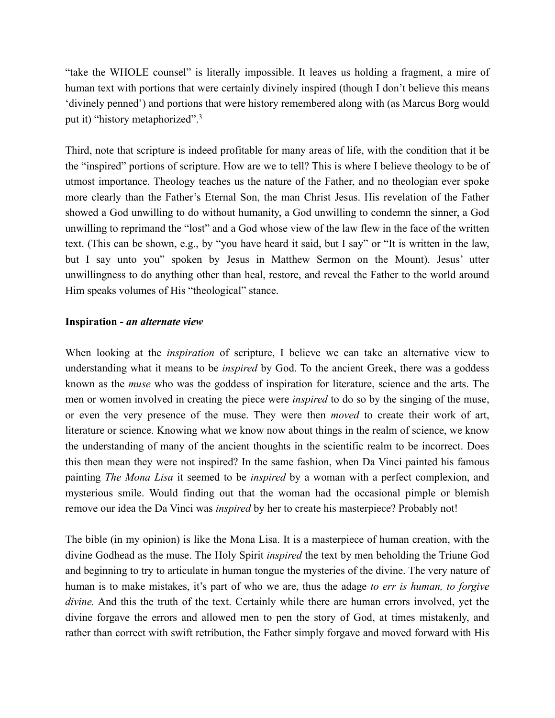"take the WHOLE counsel" is literally impossible. It leaves us holding a fragment, a mire of human text with portions that were certainly divinely inspired (though I don't believe this means 'divinely penned') and portions that were history remembered along with (as Marcus Borg would put it) "history metaphorized". 3

Third, note that scripture is indeed profitable for many areas of life, with the condition that it be the "inspired" portions of scripture. How are we to tell? This is where I believe theology to be of utmost importance. Theology teaches us the nature of the Father, and no theologian ever spoke more clearly than the Father's Eternal Son, the man Christ Jesus. His revelation of the Father showed a God unwilling to do without humanity, a God unwilling to condemn the sinner, a God unwilling to reprimand the "lost" and a God whose view of the law flew in the face of the written text. (This can be shown, e.g., by "you have heard it said, but I say" or "It is written in the law, but I say unto you" spoken by Jesus in Matthew Sermon on the Mount). Jesus' utter unwillingness to do anything other than heal, restore, and reveal the Father to the world around Him speaks volumes of His "theological" stance.

#### **Inspiration -** *an alternate view*

When looking at the *inspiration* of scripture, I believe we can take an alternative view to understanding what it means to be *inspired* by God. To the ancient Greek, there was a goddess known as the *muse* who was the goddess of inspiration for literature, science and the arts. The men or women involved in creating the piece were *inspired* to do so by the singing of the muse, or even the very presence of the muse. They were then *moved* to create their work of art, literature or science. Knowing what we know now about things in the realm of science, we know the understanding of many of the ancient thoughts in the scientific realm to be incorrect. Does this then mean they were not inspired? In the same fashion, when Da Vinci painted his famous painting *The Mona Lisa* it seemed to be *inspired* by a woman with a perfect complexion, and mysterious smile. Would finding out that the woman had the occasional pimple or blemish remove our idea the Da Vinci was *inspired* by her to create his masterpiece? Probably not!

The bible (in my opinion) is like the Mona Lisa. It is a masterpiece of human creation, with the divine Godhead as the muse. The Holy Spirit *inspired* the text by men beholding the Triune God and beginning to try to articulate in human tongue the mysteries of the divine. The very nature of human is to make mistakes, it's part of who we are, thus the adage *to err is human, to forgive divine.* And this the truth of the text. Certainly while there are human errors involved, yet the divine forgave the errors and allowed men to pen the story of God, at times mistakenly, and rather than correct with swift retribution, the Father simply forgave and moved forward with His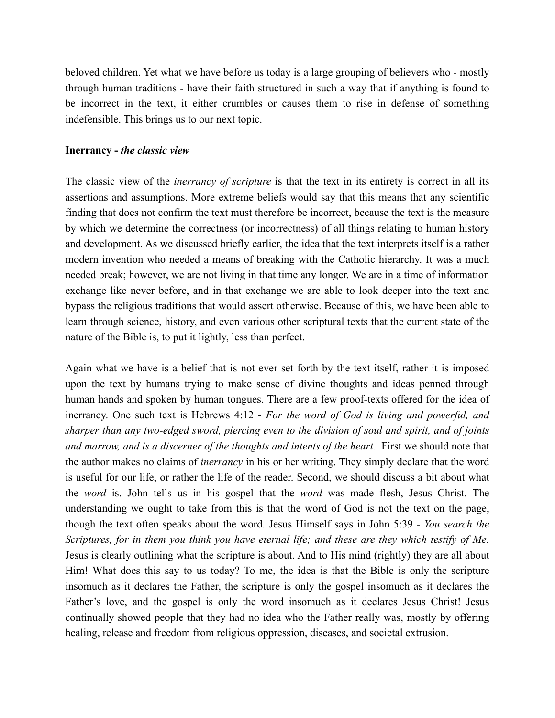beloved children. Yet what we have before us today is a large grouping of believers who - mostly through human traditions - have their faith structured in such a way that if anything is found to be incorrect in the text, it either crumbles or causes them to rise in defense of something indefensible. This brings us to our next topic.

#### **Inerrancy -** *the classic view*

The classic view of the *inerrancy of scripture* is that the text in its entirety is correct in all its assertions and assumptions. More extreme beliefs would say that this means that any scientific finding that does not confirm the text must therefore be incorrect, because the text is the measure by which we determine the correctness (or incorrectness) of all things relating to human history and development. As we discussed briefly earlier, the idea that the text interprets itself is a rather modern invention who needed a means of breaking with the Catholic hierarchy. It was a much needed break; however, we are not living in that time any longer. We are in a time of information exchange like never before, and in that exchange we are able to look deeper into the text and bypass the religious traditions that would assert otherwise. Because of this, we have been able to learn through science, history, and even various other scriptural texts that the current state of the nature of the Bible is, to put it lightly, less than perfect.

Again what we have is a belief that is not ever set forth by the text itself, rather it is imposed upon the text by humans trying to make sense of divine thoughts and ideas penned through human hands and spoken by human tongues. There are a few proof-texts offered for the idea of inerrancy. One such text is Hebrews 4:12 - *For the word of God is living and powerful, and sharper than any two-edged sword, piercing even to the division of soul and spirit, and of joints and marrow, and is a discerner of the thoughts and intents of the heart.* First we should note that the author makes no claims of *inerrancy* in his or her writing. They simply declare that the word is useful for our life, or rather the life of the reader. Second, we should discuss a bit about what the *word* is. John tells us in his gospel that the *word* was made flesh, Jesus Christ. The understanding we ought to take from this is that the word of God is not the text on the page, though the text often speaks about the word. Jesus Himself says in John 5:39 - *You search the Scriptures, for in them you think you have eternal life; and these are they which testify of Me.* Jesus is clearly outlining what the scripture is about. And to His mind (rightly) they are all about Him! What does this say to us today? To me, the idea is that the Bible is only the scripture insomuch as it declares the Father, the scripture is only the gospel insomuch as it declares the Father's love, and the gospel is only the word insomuch as it declares Jesus Christ! Jesus continually showed people that they had no idea who the Father really was, mostly by offering healing, release and freedom from religious oppression, diseases, and societal extrusion.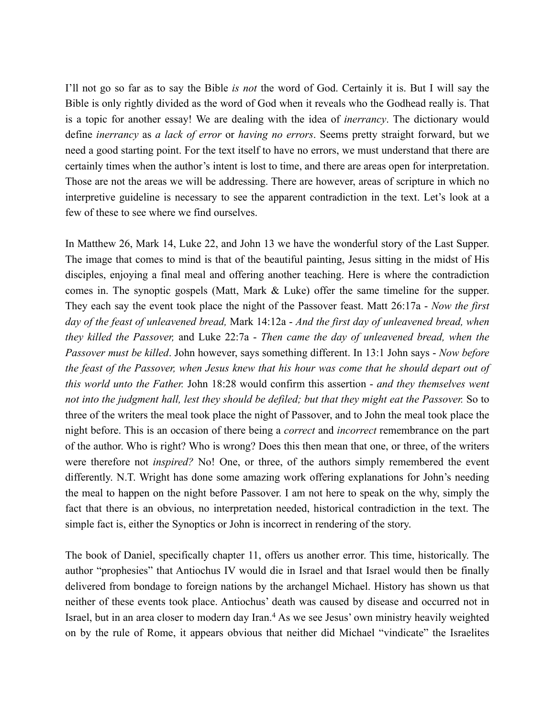I'll not go so far as to say the Bible *is not* the word of God. Certainly it is. But I will say the Bible is only rightly divided as the word of God when it reveals who the Godhead really is. That is a topic for another essay! We are dealing with the idea of *inerrancy*. The dictionary would define *inerrancy* as *a lack of error* or *having no errors*. Seems pretty straight forward, but we need a good starting point. For the text itself to have no errors, we must understand that there are certainly times when the author's intent is lost to time, and there are areas open for interpretation. Those are not the areas we will be addressing. There are however, areas of scripture in which no interpretive guideline is necessary to see the apparent contradiction in the text. Let's look at a few of these to see where we find ourselves.

In Matthew 26, Mark 14, Luke 22, and John 13 we have the wonderful story of the Last Supper. The image that comes to mind is that of the beautiful painting, Jesus sitting in the midst of His disciples, enjoying a final meal and offering another teaching. Here is where the contradiction comes in. The synoptic gospels (Matt, Mark & Luke) offer the same timeline for the supper. They each say the event took place the night of the Passover feast. Matt 26:17a - *Now the first day of the feast of unleavened bread,* Mark 14:12a - *And the first day of unleavened bread, when they killed the Passover,* and Luke 22:7a - *Then came the day of unleavened bread, when the Passover must be killed*. John however, says something different. In 13:1 John says - *Now before the feast of the Passover, when Jesus knew that his hour was come that he should depart out of this world unto the Father.* John 18:28 would confirm this assertion - *and they themselves went not into the judgment hall, lest they should be defiled; but that they might eat the Passover.* So to three of the writers the meal took place the night of Passover, and to John the meal took place the night before. This is an occasion of there being a *correct* and *incorrect* remembrance on the part of the author. Who is right? Who is wrong? Does this then mean that one, or three, of the writers were therefore not *inspired?* No! One, or three, of the authors simply remembered the event differently. N.T. Wright has done some amazing work offering explanations for John's needing the meal to happen on the night before Passover. I am not here to speak on the why, simply the fact that there is an obvious, no interpretation needed, historical contradiction in the text. The simple fact is, either the Synoptics or John is incorrect in rendering of the story.

The book of Daniel, specifically chapter 11, offers us another error. This time, historically. The author "prophesies" that Antiochus IV would die in Israel and that Israel would then be finally delivered from bondage to foreign nations by the archangel Michael. History has shown us that neither of these events took place. Antiochus' death was caused by disease and occurred not in Israel, but in an area closer to modern day Iran.<sup>4</sup> As we see Jesus' own ministry heavily weighted on by the rule of Rome, it appears obvious that neither did Michael "vindicate" the Israelites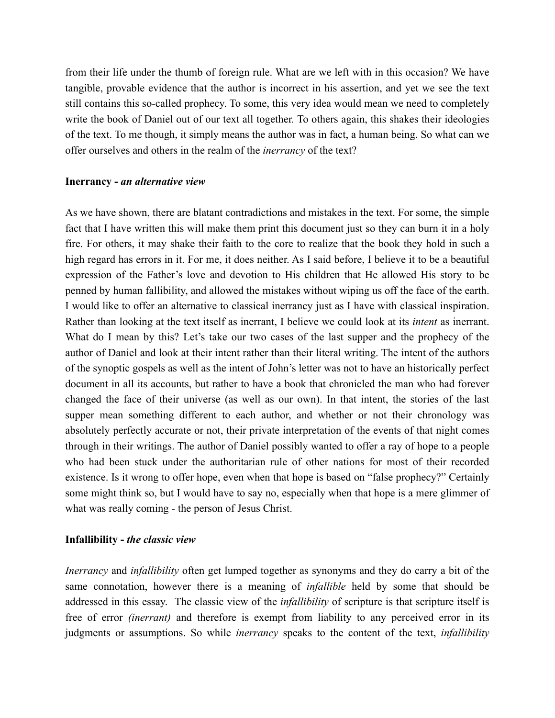from their life under the thumb of foreign rule. What are we left with in this occasion? We have tangible, provable evidence that the author is incorrect in his assertion, and yet we see the text still contains this so-called prophecy. To some, this very idea would mean we need to completely write the book of Daniel out of our text all together. To others again, this shakes their ideologies of the text. To me though, it simply means the author was in fact, a human being. So what can we offer ourselves and others in the realm of the *inerrancy* of the text?

#### **Inerrancy -** *an alternative view*

As we have shown, there are blatant contradictions and mistakes in the text. For some, the simple fact that I have written this will make them print this document just so they can burn it in a holy fire. For others, it may shake their faith to the core to realize that the book they hold in such a high regard has errors in it. For me, it does neither. As I said before, I believe it to be a beautiful expression of the Father's love and devotion to His children that He allowed His story to be penned by human fallibility, and allowed the mistakes without wiping us off the face of the earth. I would like to offer an alternative to classical inerrancy just as I have with classical inspiration. Rather than looking at the text itself as inerrant, I believe we could look at its *intent* as inerrant. What do I mean by this? Let's take our two cases of the last supper and the prophecy of the author of Daniel and look at their intent rather than their literal writing. The intent of the authors of the synoptic gospels as well as the intent of John's letter was not to have an historically perfect document in all its accounts, but rather to have a book that chronicled the man who had forever changed the face of their universe (as well as our own). In that intent, the stories of the last supper mean something different to each author, and whether or not their chronology was absolutely perfectly accurate or not, their private interpretation of the events of that night comes through in their writings. The author of Daniel possibly wanted to offer a ray of hope to a people who had been stuck under the authoritarian rule of other nations for most of their recorded existence. Is it wrong to offer hope, even when that hope is based on "false prophecy?" Certainly some might think so, but I would have to say no, especially when that hope is a mere glimmer of what was really coming - the person of Jesus Christ.

## **Infallibility -** *the classic view*

*Inerrancy* and *infallibility* often get lumped together as synonyms and they do carry a bit of the same connotation, however there is a meaning of *infallible* held by some that should be addressed in this essay. The classic view of the *infallibility* of scripture is that scripture itself is free of error *(inerrant)* and therefore is exempt from liability to any perceived error in its judgments or assumptions. So while *inerrancy* speaks to the content of the text, *infallibility*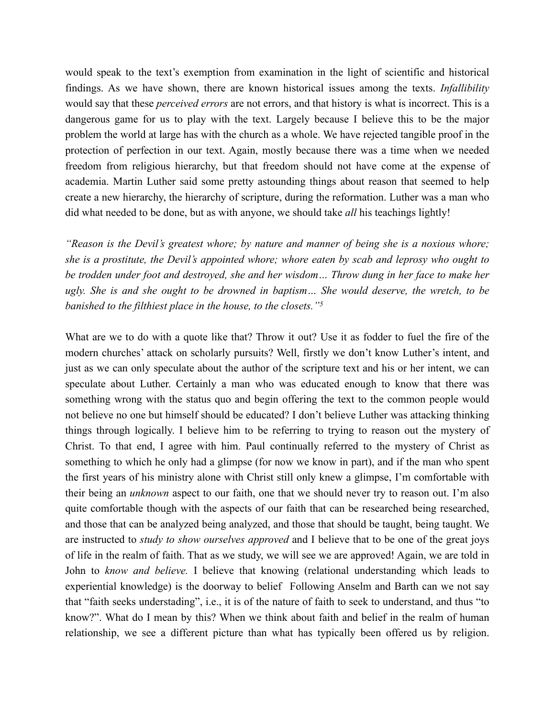would speak to the text's exemption from examination in the light of scientific and historical findings. As we have shown, there are known historical issues among the texts. *Infallibility* would say that these *perceived errors* are not errors, and that history is what is incorrect. This is a dangerous game for us to play with the text. Largely because I believe this to be the major problem the world at large has with the church as a whole. We have rejected tangible proof in the protection of perfection in our text. Again, mostly because there was a time when we needed freedom from religious hierarchy, but that freedom should not have come at the expense of academia. Martin Luther said some pretty astounding things about reason that seemed to help create a new hierarchy, the hierarchy of scripture, during the reformation. Luther was a man who did what needed to be done, but as with anyone, we should take *all* his teachings lightly!

*"Reason is the Devil's greatest whore; by nature and manner of being she is a noxious whore; she is a prostitute, the Devil's appointed whore; whore eaten by scab and leprosy who ought to be trodden under foot and destroyed, she and her wisdom… Throw dung in her face to make her ugly. She is and she ought to be drowned in baptism… She would deserve, the wretch, to be banished to the filthiest place in the house, to the closets."5*

What are we to do with a quote like that? Throw it out? Use it as fodder to fuel the fire of the modern churches' attack on scholarly pursuits? Well, firstly we don't know Luther's intent, and just as we can only speculate about the author of the scripture text and his or her intent, we can speculate about Luther. Certainly a man who was educated enough to know that there was something wrong with the status quo and begin offering the text to the common people would not believe no one but himself should be educated? I don't believe Luther was attacking thinking things through logically. I believe him to be referring to trying to reason out the mystery of Christ. To that end, I agree with him. Paul continually referred to the mystery of Christ as something to which he only had a glimpse (for now we know in part), and if the man who spent the first years of his ministry alone with Christ still only knew a glimpse, I'm comfortable with their being an *unknown* aspect to our faith, one that we should never try to reason out. I'm also quite comfortable though with the aspects of our faith that can be researched being researched, and those that can be analyzed being analyzed, and those that should be taught, being taught. We are instructed to *study to show ourselves approved* and I believe that to be one of the great joys of life in the realm of faith. That as we study, we will see we are approved! Again, we are told in John to *know and believe.* I believe that knowing (relational understanding which leads to experiential knowledge) is the doorway to belief Following Anselm and Barth can we not say that "faith seeks understading", i.e., it is of the nature of faith to seek to understand, and thus "to know?". What do I mean by this? When we think about faith and belief in the realm of human relationship, we see a different picture than what has typically been offered us by religion.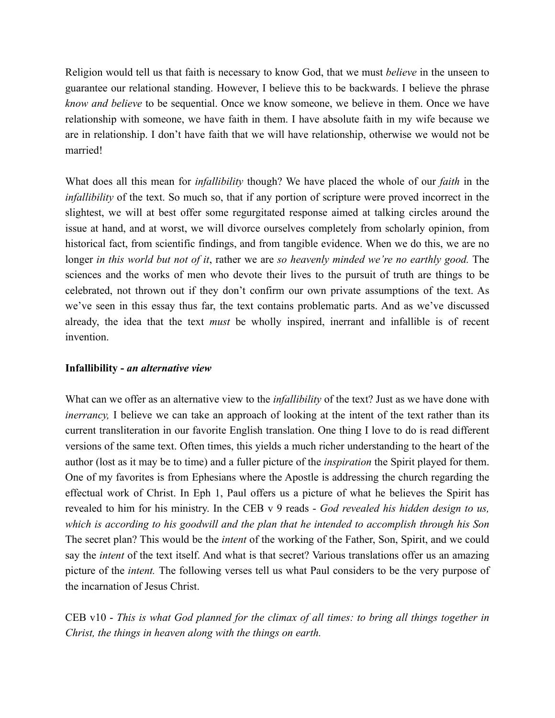Religion would tell us that faith is necessary to know God, that we must *believe* in the unseen to guarantee our relational standing. However, I believe this to be backwards. I believe the phrase *know and believe* to be sequential. Once we know someone, we believe in them. Once we have relationship with someone, we have faith in them. I have absolute faith in my wife because we are in relationship. I don't have faith that we will have relationship, otherwise we would not be married!

What does all this mean for *infallibility* though? We have placed the whole of our *faith* in the *infallibility* of the text. So much so, that if any portion of scripture were proved incorrect in the slightest, we will at best offer some regurgitated response aimed at talking circles around the issue at hand, and at worst, we will divorce ourselves completely from scholarly opinion, from historical fact, from scientific findings, and from tangible evidence. When we do this, we are no longer *in this world but not of it*, rather we are *so heavenly minded we're no earthly good.* The sciences and the works of men who devote their lives to the pursuit of truth are things to be celebrated, not thrown out if they don't confirm our own private assumptions of the text. As we've seen in this essay thus far, the text contains problematic parts. And as we've discussed already, the idea that the text *must* be wholly inspired, inerrant and infallible is of recent invention.

# **Infallibility -** *an alternative view*

What can we offer as an alternative view to the *infallibility* of the text? Just as we have done with *inerrancy*, I believe we can take an approach of looking at the intent of the text rather than its current transliteration in our favorite English translation. One thing I love to do is read different versions of the same text. Often times, this yields a much richer understanding to the heart of the author (lost as it may be to time) and a fuller picture of the *inspiration* the Spirit played for them. One of my favorites is from Ephesians where the Apostle is addressing the church regarding the effectual work of Christ. In Eph 1, Paul offers us a picture of what he believes the Spirit has revealed to him for his ministry. In the CEB v 9 reads - *God revealed his hidden design to us, which is according to his goodwill and the plan that he intended to accomplish through his Son*  The secret plan? This would be the *intent* of the working of the Father, Son, Spirit, and we could say the *intent* of the text itself. And what is that secret? Various translations offer us an amazing picture of the *intent.* The following verses tell us what Paul considers to be the very purpose of the incarnation of Jesus Christ.

CEB v10 - *This is what God planned for the climax of all times: to bring all things together in Christ, the things in heaven along with the things on earth.*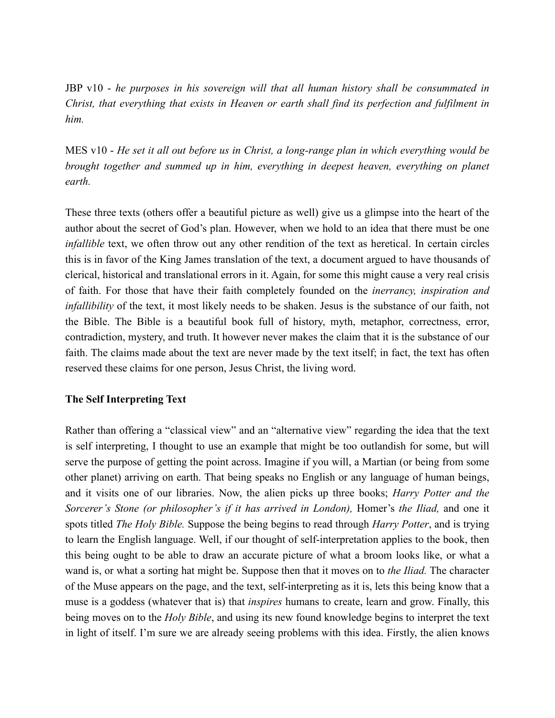JBP v10 - *he purposes in his sovereign will that all human history shall be consummated in Christ, that everything that exists in Heaven or earth shall find its perfection and fulfilment in him.*

MES v10 - *He set it all out before us in Christ, a long-range plan in which everything would be brought together and summed up in him, everything in deepest heaven, everything on planet earth.* 

These three texts (others offer a beautiful picture as well) give us a glimpse into the heart of the author about the secret of God's plan. However, when we hold to an idea that there must be one *infallible* text, we often throw out any other rendition of the text as heretical. In certain circles this is in favor of the King James translation of the text, a document argued to have thousands of clerical, historical and translational errors in it. Again, for some this might cause a very real crisis of faith. For those that have their faith completely founded on the *inerrancy, inspiration and infallibility* of the text, it most likely needs to be shaken. Jesus is the substance of our faith, not the Bible. The Bible is a beautiful book full of history, myth, metaphor, correctness, error, contradiction, mystery, and truth. It however never makes the claim that it is the substance of our faith. The claims made about the text are never made by the text itself; in fact, the text has often reserved these claims for one person, Jesus Christ, the living word.

# **The Self Interpreting Text**

Rather than offering a "classical view" and an "alternative view" regarding the idea that the text is self interpreting, I thought to use an example that might be too outlandish for some, but will serve the purpose of getting the point across. Imagine if you will, a Martian (or being from some other planet) arriving on earth. That being speaks no English or any language of human beings, and it visits one of our libraries. Now, the alien picks up three books; *Harry Potter and the Sorcerer's Stone (or philosopher's if it has arrived in London), Homer's the Iliad, and one it* spots titled *The Holy Bible.* Suppose the being begins to read through *Harry Potter*, and is trying to learn the English language. Well, if our thought of self-interpretation applies to the book, then this being ought to be able to draw an accurate picture of what a broom looks like, or what a wand is, or what a sorting hat might be. Suppose then that it moves on to *the Iliad.* The character of the Muse appears on the page, and the text, self-interpreting as it is, lets this being know that a muse is a goddess (whatever that is) that *inspires* humans to create, learn and grow. Finally, this being moves on to the *Holy Bible*, and using its new found knowledge begins to interpret the text in light of itself. I'm sure we are already seeing problems with this idea. Firstly, the alien knows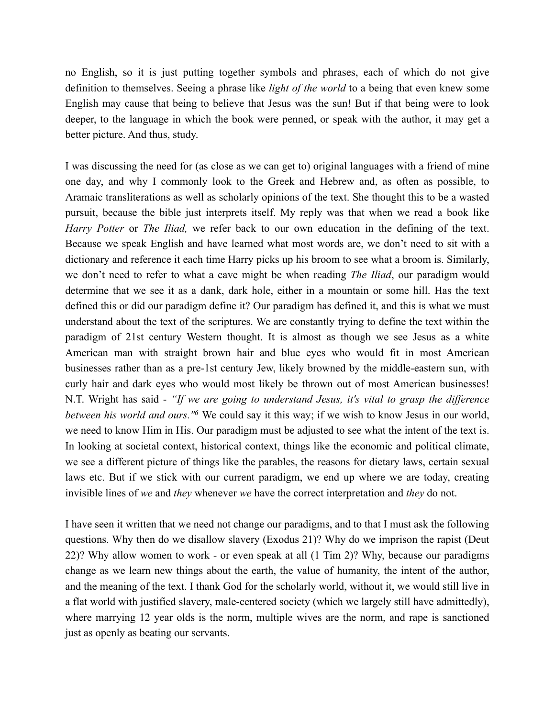no English, so it is just putting together symbols and phrases, each of which do not give definition to themselves. Seeing a phrase like *light of the world* to a being that even knew some English may cause that being to believe that Jesus was the sun! But if that being were to look deeper, to the language in which the book were penned, or speak with the author, it may get a better picture. And thus, study.

I was discussing the need for (as close as we can get to) original languages with a friend of mine one day, and why I commonly look to the Greek and Hebrew and, as often as possible, to Aramaic transliterations as well as scholarly opinions of the text. She thought this to be a wasted pursuit, because the bible just interprets itself. My reply was that when we read a book like *Harry Potter* or *The Iliad,* we refer back to our own education in the defining of the text. Because we speak English and have learned what most words are, we don't need to sit with a dictionary and reference it each time Harry picks up his broom to see what a broom is. Similarly, we don't need to refer to what a cave might be when reading *The Iliad*, our paradigm would determine that we see it as a dank, dark hole, either in a mountain or some hill. Has the text defined this or did our paradigm define it? Our paradigm has defined it, and this is what we must understand about the text of the scriptures. We are constantly trying to define the text within the paradigm of 21st century Western thought. It is almost as though we see Jesus as a white American man with straight brown hair and blue eyes who would fit in most American businesses rather than as a pre-1st century Jew, likely browned by the middle-eastern sun, with curly hair and dark eyes who would most likely be thrown out of most American businesses! N.T. Wright has said - *"If we are going to understand Jesus, it's vital to grasp the difference between his world and ours.*" We could say it this way; if we wish to know Jesus in our world, we need to know Him in His. Our paradigm must be adjusted to see what the intent of the text is. In looking at societal context, historical context, things like the economic and political climate, we see a different picture of things like the parables, the reasons for dietary laws, certain sexual laws etc. But if we stick with our current paradigm, we end up where we are today, creating invisible lines of *we* and *they* whenever *we* have the correct interpretation and *they* do not.

I have seen it written that we need not change our paradigms, and to that I must ask the following questions. Why then do we disallow slavery (Exodus 21)? Why do we imprison the rapist (Deut 22)? Why allow women to work - or even speak at all (1 Tim 2)? Why, because our paradigms change as we learn new things about the earth, the value of humanity, the intent of the author, and the meaning of the text. I thank God for the scholarly world, without it, we would still live in a flat world with justified slavery, male-centered society (which we largely still have admittedly), where marrying 12 year olds is the norm, multiple wives are the norm, and rape is sanctioned just as openly as beating our servants.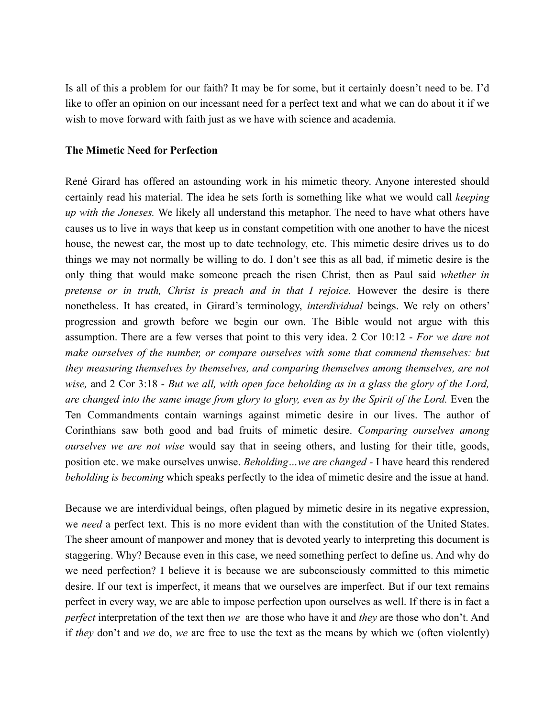Is all of this a problem for our faith? It may be for some, but it certainly doesn't need to be. I'd like to offer an opinion on our incessant need for a perfect text and what we can do about it if we wish to move forward with faith just as we have with science and academia.

## **The Mimetic Need for Perfection**

René Girard has offered an astounding work in his mimetic theory. Anyone interested should certainly read his material. The idea he sets forth is something like what we would call *keeping up with the Joneses.* We likely all understand this metaphor. The need to have what others have causes us to live in ways that keep us in constant competition with one another to have the nicest house, the newest car, the most up to date technology, etc. This mimetic desire drives us to do things we may not normally be willing to do. I don't see this as all bad, if mimetic desire is the only thing that would make someone preach the risen Christ, then as Paul said *whether in pretense or in truth, Christ is preach and in that I rejoice.* However the desire is there nonetheless. It has created, in Girard's terminology, *interdividual* beings. We rely on others' progression and growth before we begin our own. The Bible would not argue with this assumption. There are a few verses that point to this very idea. 2 Cor 10:12 - *For we dare not make ourselves of the number, or compare ourselves with some that commend themselves: but they measuring themselves by themselves, and comparing themselves among themselves, are not wise,* and 2 Cor 3:18 - *But we all, with open face beholding as in a glass the glory of the Lord, are changed into the same image from glory to glory, even as by the Spirit of the Lord.* Even the Ten Commandments contain warnings against mimetic desire in our lives. The author of Corinthians saw both good and bad fruits of mimetic desire. *Comparing ourselves among ourselves we are not wise* would say that in seeing others, and lusting for their title, goods, position etc. we make ourselves unwise. *Beholding…we are changed -* I have heard this rendered *beholding is becoming* which speaks perfectly to the idea of mimetic desire and the issue at hand.

Because we are interdividual beings, often plagued by mimetic desire in its negative expression, we *need* a perfect text. This is no more evident than with the constitution of the United States. The sheer amount of manpower and money that is devoted yearly to interpreting this document is staggering. Why? Because even in this case, we need something perfect to define us. And why do we need perfection? I believe it is because we are subconsciously committed to this mimetic desire. If our text is imperfect, it means that we ourselves are imperfect. But if our text remains perfect in every way, we are able to impose perfection upon ourselves as well. If there is in fact a *perfect* interpretation of the text then *we* are those who have it and *they* are those who don't. And if *they* don't and *we* do, *we* are free to use the text as the means by which we (often violently)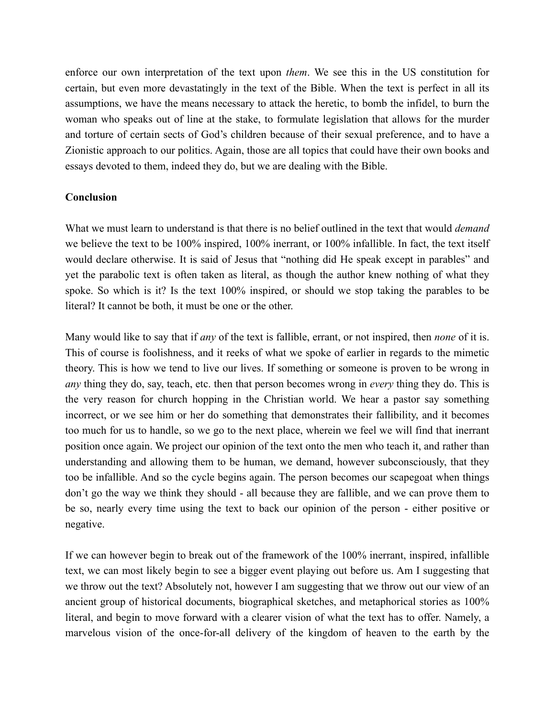enforce our own interpretation of the text upon *them*. We see this in the US constitution for certain, but even more devastatingly in the text of the Bible. When the text is perfect in all its assumptions, we have the means necessary to attack the heretic, to bomb the infidel, to burn the woman who speaks out of line at the stake, to formulate legislation that allows for the murder and torture of certain sects of God's children because of their sexual preference, and to have a Zionistic approach to our politics. Again, those are all topics that could have their own books and essays devoted to them, indeed they do, but we are dealing with the Bible.

## **Conclusion**

What we must learn to understand is that there is no belief outlined in the text that would *demand* we believe the text to be 100% inspired, 100% inerrant, or 100% infallible. In fact, the text itself would declare otherwise. It is said of Jesus that "nothing did He speak except in parables" and yet the parabolic text is often taken as literal, as though the author knew nothing of what they spoke. So which is it? Is the text 100% inspired, or should we stop taking the parables to be literal? It cannot be both, it must be one or the other.

Many would like to say that if *any* of the text is fallible, errant, or not inspired, then *none* of it is. This of course is foolishness, and it reeks of what we spoke of earlier in regards to the mimetic theory. This is how we tend to live our lives. If something or someone is proven to be wrong in *any* thing they do, say, teach, etc. then that person becomes wrong in *every* thing they do. This is the very reason for church hopping in the Christian world. We hear a pastor say something incorrect, or we see him or her do something that demonstrates their fallibility, and it becomes too much for us to handle, so we go to the next place, wherein we feel we will find that inerrant position once again. We project our opinion of the text onto the men who teach it, and rather than understanding and allowing them to be human, we demand, however subconsciously, that they too be infallible. And so the cycle begins again. The person becomes our scapegoat when things don't go the way we think they should - all because they are fallible, and we can prove them to be so, nearly every time using the text to back our opinion of the person - either positive or negative.

If we can however begin to break out of the framework of the 100% inerrant, inspired, infallible text, we can most likely begin to see a bigger event playing out before us. Am I suggesting that we throw out the text? Absolutely not, however I am suggesting that we throw out our view of an ancient group of historical documents, biographical sketches, and metaphorical stories as 100% literal, and begin to move forward with a clearer vision of what the text has to offer. Namely, a marvelous vision of the once-for-all delivery of the kingdom of heaven to the earth by the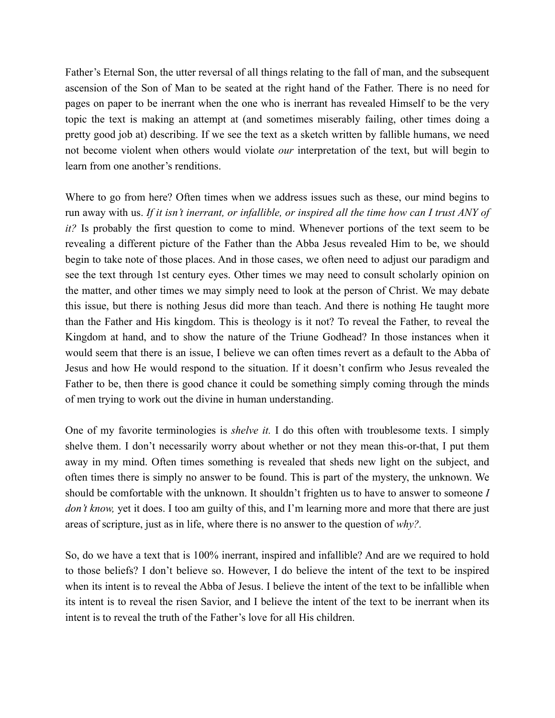Father's Eternal Son, the utter reversal of all things relating to the fall of man, and the subsequent ascension of the Son of Man to be seated at the right hand of the Father. There is no need for pages on paper to be inerrant when the one who is inerrant has revealed Himself to be the very topic the text is making an attempt at (and sometimes miserably failing, other times doing a pretty good job at) describing. If we see the text as a sketch written by fallible humans, we need not become violent when others would violate *our* interpretation of the text, but will begin to learn from one another's renditions.

Where to go from here? Often times when we address issues such as these, our mind begins to run away with us. *If it isn't inerrant, or infallible, or inspired all the time how can I trust ANY of it?* Is probably the first question to come to mind. Whenever portions of the text seem to be revealing a different picture of the Father than the Abba Jesus revealed Him to be, we should begin to take note of those places. And in those cases, we often need to adjust our paradigm and see the text through 1st century eyes. Other times we may need to consult scholarly opinion on the matter, and other times we may simply need to look at the person of Christ. We may debate this issue, but there is nothing Jesus did more than teach. And there is nothing He taught more than the Father and His kingdom. This is theology is it not? To reveal the Father, to reveal the Kingdom at hand, and to show the nature of the Triune Godhead? In those instances when it would seem that there is an issue, I believe we can often times revert as a default to the Abba of Jesus and how He would respond to the situation. If it doesn't confirm who Jesus revealed the Father to be, then there is good chance it could be something simply coming through the minds of men trying to work out the divine in human understanding.

One of my favorite terminologies is *shelve it.* I do this often with troublesome texts. I simply shelve them. I don't necessarily worry about whether or not they mean this-or-that, I put them away in my mind. Often times something is revealed that sheds new light on the subject, and often times there is simply no answer to be found. This is part of the mystery, the unknown. We should be comfortable with the unknown. It shouldn't frighten us to have to answer to someone *I don't know,* yet it does. I too am guilty of this, and I'm learning more and more that there are just areas of scripture, just as in life, where there is no answer to the question of *why?.* 

So, do we have a text that is 100% inerrant, inspired and infallible? And are we required to hold to those beliefs? I don't believe so. However, I do believe the intent of the text to be inspired when its intent is to reveal the Abba of Jesus. I believe the intent of the text to be infallible when its intent is to reveal the risen Savior, and I believe the intent of the text to be inerrant when its intent is to reveal the truth of the Father's love for all His children.